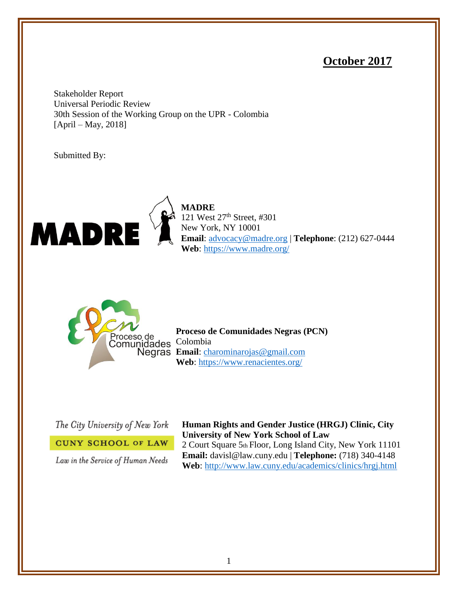# **October 2017**

Stakeholder Report Universal Periodic Review 30th Session of the Working Group on the UPR - Colombia [April – May, 2018]

Submitted By:



**MADRE**  121 West 27<sup>th</sup> Street, #301 New York, NY 10001 **Email**: [advocacy@madre.org](mailto:advocacy@madre.org) | **Telephone**: (212) 627-0444 **Web**:<https://www.madre.org/>



**Proceso de Comunidades Negras (PCN) Email**: [charominarojas@gmail.com](mailto:charominarojas@gmail.com) **Web**:<https://www.renacientes.org/>

The City University of New York

**CUNY SCHOOL OF LAW** 

Law in the Service of Human Needs

**Human Rights and Gender Justice (HRGJ) Clinic, City University of New York School of Law** 2 Court Square 5th Floor, Long Island City, New York 11101 **Email:** davisl@law.cuny.edu | **Telephone:** (718) 340-4148 **Web**:<http://www.law.cuny.edu/academics/clinics/hrgj.html>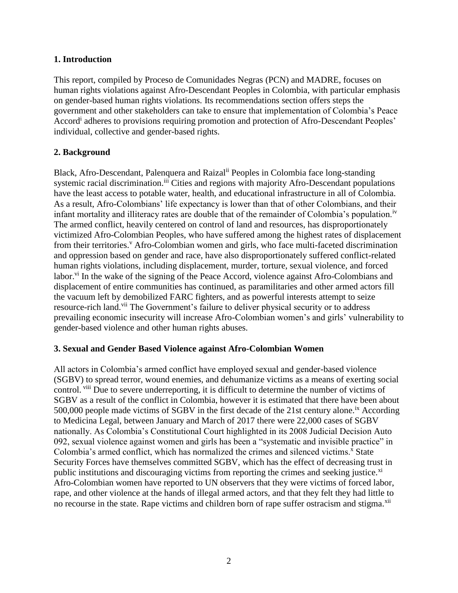#### **1. Introduction**

This report, compiled by Proceso de Comunidades Negras (PCN) and MADRE, focuses on human rights violations against Afro-Descendant Peoples in Colombia, with particular emphasis on gender-based human rights violations. Its recommendations section offers steps the government and other stakeholders can take to ensure that implementation of Colombia's Peace Accord<sup>i</sup> adheres to provisions requiring promotion and protection of Afro-Descendant Peoples' individual, collective and gender-based rights.

# **2. Background**

Black, Afro-Descendant, Palenquera and Raizal<sup>ii</sup> Peoples in Colombia face long-standing systemic racial discrimination.<sup>iii</sup> Cities and regions with majority Afro-Descendant populations have the least access to potable water, health, and educational infrastructure in all of Colombia. As a result, Afro-Colombians' life expectancy is lower than that of other Colombians, and their infant mortality and illiteracy rates are double that of the remainder of Colombia's population.<sup>iv</sup> The armed conflict, heavily centered on control of land and resources, has disproportionately victimized Afro-Colombian Peoples, who have suffered among the highest rates of displacement from their territories.<sup>v</sup> Afro-Colombian women and girls, who face multi-faceted discrimination and oppression based on gender and race, have also disproportionately suffered conflict-related human rights violations, including displacement, murder, torture, sexual violence, and forced labor.<sup>vi</sup> In the wake of the signing of the Peace Accord, violence against Afro-Colombians and displacement of entire communities has continued, as paramilitaries and other armed actors fill the vacuum left by demobilized FARC fighters, and as powerful interests attempt to seize resource-rich land.<sup>vii</sup> The Government's failure to deliver physical security or to address prevailing economic insecurity will increase Afro-Colombian women's and girls' vulnerability to gender-based violence and other human rights abuses.

#### **3. Sexual and Gender Based Violence against Afro-Colombian Women**

All actors in Colombia's armed conflict have employed sexual and gender-based violence (SGBV) to spread terror, wound enemies, and dehumanize victims as a means of exerting social control. viii Due to severe underreporting, it is difficult to determine the number of victims of SGBV as a result of the conflict in Colombia, however it is estimated that there have been about 500,000 people made victims of SGBV in the first decade of the 21st century alone.<sup>ix</sup> According to Medicina Legal, between January and March of 2017 there were 22,000 cases of SGBV nationally. As Colombia's Constitutional Court highlighted in its 2008 Judicial Decision Auto 092, sexual violence against women and girls has been a "systematic and invisible practice" in Colombia's armed conflict, which has normalized the crimes and silenced victims.<sup>x</sup> State Security Forces have themselves committed SGBV, which has the effect of decreasing trust in public institutions and discouraging victims from reporting the crimes and seeking justice. $x_i$ Afro-Colombian women have reported to UN observers that they were victims of forced labor, rape, and other violence at the hands of illegal armed actors, and that they felt they had little to no recourse in the state. Rape victims and children born of rape suffer ostracism and stigma.<sup>xii</sup>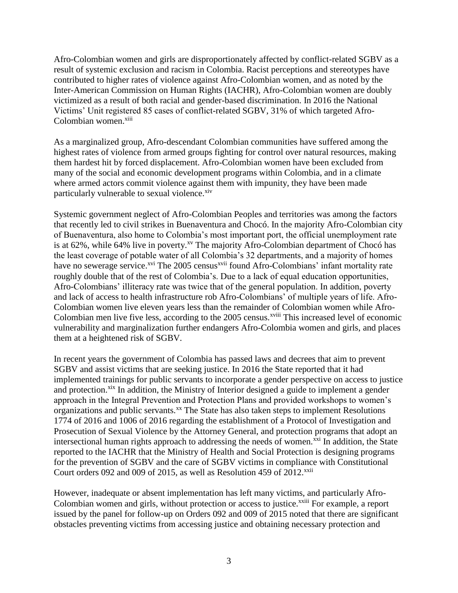Afro-Colombian women and girls are disproportionately affected by conflict-related SGBV as a result of systemic exclusion and racism in Colombia. Racist perceptions and stereotypes have contributed to higher rates of violence against Afro-Colombian women, and as noted by the Inter-American Commission on Human Rights (IACHR), Afro-Colombian women are doubly victimized as a result of both racial and gender-based discrimination. In 2016 the National Victims' Unit registered 85 cases of conflict-related SGBV, 31% of which targeted Afro-Colombian women.<sup>xiii</sup>

As a marginalized group, Afro-descendant Colombian communities have suffered among the highest rates of violence from armed groups fighting for control over natural resources, making them hardest hit by forced displacement. Afro-Colombian women have been excluded from many of the social and economic development programs within Colombia, and in a climate where armed actors commit violence against them with impunity, they have been made particularly vulnerable to sexual violence.<sup>xiv</sup>

Systemic government neglect of Afro-Colombian Peoples and territories was among the factors that recently led to civil strikes in Buenaventura and Chocó. In the majority Afro-Colombian city of Buenaventura, also home to Colombia's most important port, the official unemployment rate is at 62%, while 64% live in poverty.<sup>xv</sup> The majority Afro-Colombian department of Chocó has the least coverage of potable water of all Colombia's 32 departments, and a majority of homes have no sewerage service.<sup>xvi</sup> The 2005 census<sup>xvii</sup> found Afro-Colombians' infant mortality rate roughly double that of the rest of Colombia's. Due to a lack of equal education opportunities, Afro-Colombians' illiteracy rate was twice that of the general population. In addition, poverty and lack of access to health infrastructure rob Afro-Colombians' of multiple years of life. Afro-Colombian women live eleven years less than the remainder of Colombian women while Afro-Colombian men live five less, according to the 2005 census.<sup>xviii</sup> This increased level of economic vulnerability and marginalization further endangers Afro-Colombia women and girls, and places them at a heightened risk of SGBV.

In recent years the government of Colombia has passed laws and decrees that aim to prevent SGBV and assist victims that are seeking justice. In 2016 the State reported that it had implemented trainings for public servants to incorporate a gender perspective on access to justice and protection.<sup>xix</sup> In addition, the Ministry of Interior designed a guide to implement a gender approach in the Integral Prevention and Protection Plans and provided workshops to women's organizations and public servants.<sup>xx</sup> The State has also taken steps to implement Resolutions 1774 of 2016 and 1006 of 2016 regarding the establishment of a Protocol of Investigation and Prosecution of Sexual Violence by the Attorney General, and protection programs that adopt an intersectional human rights approach to addressing the needs of women.<sup>xxi</sup> In addition, the State reported to the IACHR that the Ministry of Health and Social Protection is designing programs for the prevention of SGBV and the care of SGBV victims in compliance with Constitutional Court orders 092 and 009 of 2015, as well as Resolution 459 of  $2012$ <sup>xxii</sup>

However, inadequate or absent implementation has left many victims, and particularly Afro-Colombian women and girls, without protection or access to justice.<sup>xxiii</sup> For example, a report issued by the panel for follow-up on Orders 092 and 009 of 2015 noted that there are significant obstacles preventing victims from accessing justice and obtaining necessary protection and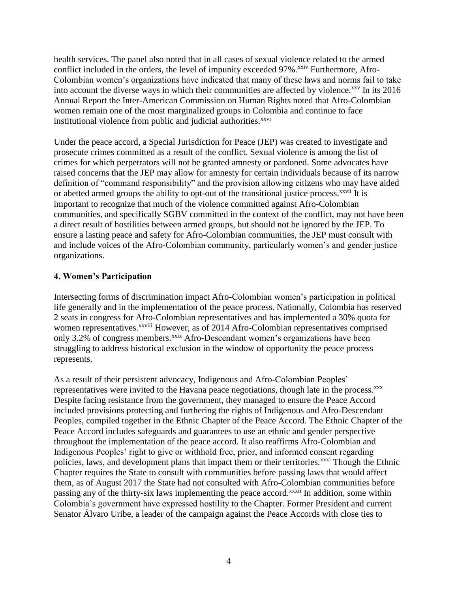health services. The panel also noted that in all cases of sexual violence related to the armed conflict included in the orders, the level of impunity exceeded 97%.<sup>xxiv</sup> Furthermore, Afro-Colombian women's organizations have indicated that many of these laws and norms fail to take into account the diverse ways in which their communities are affected by violence.<sup>xxv</sup> In its 2016 Annual Report the Inter-American Commission on Human Rights noted that Afro-Colombian women remain one of the most marginalized groups in Colombia and continue to face institutional violence from public and judicial authorities.<sup>xxvi</sup>

Under the peace accord, a Special Jurisdiction for Peace (JEP) was created to investigate and prosecute crimes committed as a result of the conflict. Sexual violence is among the list of crimes for which perpetrators will not be granted amnesty or pardoned. Some advocates have raised concerns that the JEP may allow for amnesty for certain individuals because of its narrow definition of "command responsibility" and the provision allowing citizens who may have aided or abetted armed groups the ability to opt-out of the transitional justice process.<sup>xxvii</sup> It is important to recognize that much of the violence committed against Afro-Colombian communities, and specifically SGBV committed in the context of the conflict, may not have been a direct result of hostilities between armed groups, but should not be ignored by the JEP. To ensure a lasting peace and safety for Afro-Colombian communities, the JEP must consult with and include voices of the Afro-Colombian community, particularly women's and gender justice organizations.

#### **4. Women's Participation**

Intersecting forms of discrimination impact Afro-Colombian women's participation in political life generally and in the implementation of the peace process. Nationally, Colombia has reserved 2 seats in congress for Afro-Colombian representatives and has implemented a 30% quota for women representatives.<sup>xxviii</sup> However, as of 2014 Afro-Colombian representatives comprised only 3.2% of congress members.<sup>xxix</sup> Afro-Descendant women's organizations have been struggling to address historical exclusion in the window of opportunity the peace process represents.

As a result of their persistent advocacy, Indigenous and Afro-Colombian Peoples' representatives were invited to the Havana peace negotiations, though late in the process.<sup>xxx</sup> Despite facing resistance from the government, they managed to ensure the Peace Accord included provisions protecting and furthering the rights of Indigenous and Afro-Descendant Peoples, compiled together in the Ethnic Chapter of the Peace Accord. The Ethnic Chapter of the Peace Accord includes safeguards and guarantees to use an ethnic and gender perspective throughout the implementation of the peace accord. It also reaffirms Afro-Colombian and Indigenous Peoples' right to give or withhold free, prior, and informed consent regarding policies, laws, and development plans that impact them or their territories.<sup>xxxi</sup> Though the Ethnic Chapter requires the State to consult with communities before passing laws that would affect them, as of August 2017 the State had not consulted with Afro-Colombian communities before passing any of the thirty-six laws implementing the peace accord.<sup>xxxii</sup> In addition, some within Colombia's government have expressed hostility to the Chapter. Former President and current Senator Álvaro Uribe, a leader of the campaign against the Peace Accords with close ties to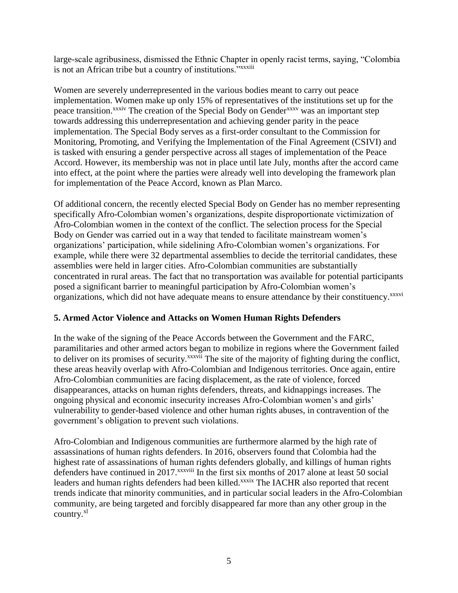large-scale agribusiness, dismissed the Ethnic Chapter in openly racist terms, saying, "Colombia is not an African tribe but a country of institutions."*xxxiii* 

Women are severely underrepresented in the various bodies meant to carry out peace implementation. Women make up only 15% of representatives of the institutions set up for the peace transition.<sup>xxxiv</sup> The creation of the Special Body on Gender<sup>xxxv</sup> was an important step towards addressing this underrepresentation and achieving gender parity in the peace implementation. The Special Body serves as a first-order consultant to the Commission for Monitoring, Promoting, and Verifying the Implementation of the Final Agreement (CSIVI) and is tasked with ensuring a gender perspective across all stages of implementation of the Peace Accord. However, its membership was not in place until late July, months after the accord came into effect, at the point where the parties were already well into developing the framework plan for implementation of the Peace Accord, known as Plan Marco.

Of additional concern, the recently elected Special Body on Gender has no member representing specifically Afro-Colombian women's organizations, despite disproportionate victimization of Afro-Colombian women in the context of the conflict. The selection process for the Special Body on Gender was carried out in a way that tended to facilitate mainstream women's organizations' participation, while sidelining Afro-Colombian women's organizations. For example, while there were 32 departmental assemblies to decide the territorial candidates, these assemblies were held in larger cities. Afro-Colombian communities are substantially concentrated in rural areas. The fact that no transportation was available for potential participants posed a significant barrier to meaningful participation by Afro-Colombian women's organizations, which did not have adequate means to ensure attendance by their constituency.<sup>xxxvi</sup>

# **5. Armed Actor Violence and Attacks on Women Human Rights Defenders**

In the wake of the signing of the Peace Accords between the Government and the FARC, paramilitaries and other armed actors began to mobilize in regions where the Government failed to deliver on its promises of security.<sup>xxxvii</sup> The site of the majority of fighting during the conflict, these areas heavily overlap with Afro-Colombian and Indigenous territories. Once again, entire Afro-Colombian communities are facing displacement, as the rate of violence, forced disappearances, attacks on human rights defenders, threats, and kidnappings increases. The ongoing physical and economic insecurity increases Afro-Colombian women's and girls' vulnerability to gender-based violence and other human rights abuses, in contravention of the government's obligation to prevent such violations.

Afro-Colombian and Indigenous communities are furthermore alarmed by the high rate of assassinations of human rights defenders. In 2016, observers found that Colombia had the highest rate of assassinations of human rights defenders globally, and killings of human rights defenders have continued in 2017.<sup>xxxviii</sup> In the first six months of 2017 alone at least 50 social leaders and human rights defenders had been killed.<sup>xxxix</sup> The IACHR also reported that recent trends indicate that minority communities, and in particular social leaders in the Afro-Colombian community, are being targeted and forcibly disappeared far more than any other group in the country.<sup>xl</sup>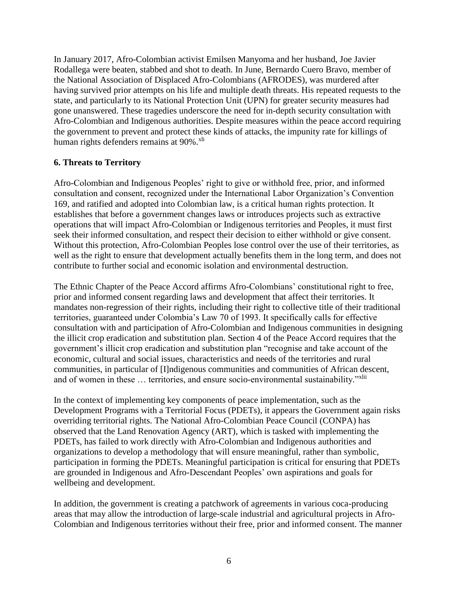In January 2017, Afro-Colombian activist Emilsen Manyoma and her husband, Joe Javier Rodallega were beaten, stabbed and shot to death. In June, Bernardo Cuero Bravo, member of the National Association of Displaced Afro-Colombians (AFRODES), was murdered after having survived prior attempts on his life and multiple death threats. His repeated requests to the state, and particularly to its National Protection Unit (UPN) for greater security measures had gone unanswered. These tragedies underscore the need for in-depth security consultation with Afro-Colombian and Indigenous authorities. Despite measures within the peace accord requiring the government to prevent and protect these kinds of attacks, the impunity rate for killings of human rights defenders remains at  $90\%$ .<sup>xli</sup>

# **6. Threats to Territory**

Afro-Colombian and Indigenous Peoples' right to give or withhold free, prior, and informed consultation and consent, recognized under the International Labor Organization's Convention 169, and ratified and adopted into Colombian law, is a critical human rights protection. It establishes that before a government changes laws or introduces projects such as extractive operations that will impact Afro-Colombian or Indigenous territories and Peoples, it must first seek their informed consultation, and respect their decision to either withhold or give consent. Without this protection, Afro-Colombian Peoples lose control over the use of their territories, as well as the right to ensure that development actually benefits them in the long term, and does not contribute to further social and economic isolation and environmental destruction.

The Ethnic Chapter of the Peace Accord affirms Afro-Colombians' constitutional right to free, prior and informed consent regarding laws and development that affect their territories. It mandates non-regression of their rights, including their right to collective title of their traditional territories, guaranteed under Colombia's Law 70 of 1993. It specifically calls for effective consultation with and participation of Afro-Colombian and Indigenous communities in designing the illicit crop eradication and substitution plan. Section 4 of the Peace Accord requires that the government's illicit crop eradication and substitution plan "recognise and take account of the economic, cultural and social issues, characteristics and needs of the territories and rural communities, in particular of [I]ndigenous communities and communities of African descent, and of women in these ... territories, and ensure socio-environmental sustainability."<sup>xlii</sup>

In the context of implementing key components of peace implementation, such as the Development Programs with a Territorial Focus (PDETs), it appears the Government again risks overriding territorial rights. The National Afro-Colombian Peace Council (CONPA) has observed that the Land Renovation Agency (ART), which is tasked with implementing the PDETs, has failed to work directly with Afro-Colombian and Indigenous authorities and organizations to develop a methodology that will ensure meaningful, rather than symbolic, participation in forming the PDETs. Meaningful participation is critical for ensuring that PDETs are grounded in Indigenous and Afro-Descendant Peoples' own aspirations and goals for wellbeing and development.

In addition, the government is creating a patchwork of agreements in various coca-producing areas that may allow the introduction of large-scale industrial and agricultural projects in Afro-Colombian and Indigenous territories without their free, prior and informed consent. The manner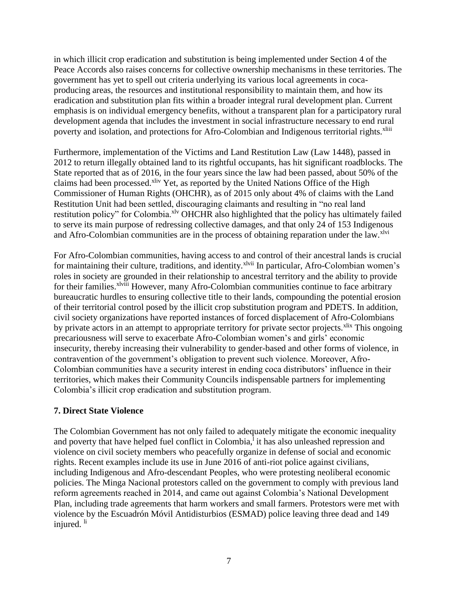in which illicit crop eradication and substitution is being implemented under Section 4 of the Peace Accords also raises concerns for collective ownership mechanisms in these territories. The government has yet to spell out criteria underlying its various local agreements in cocaproducing areas, the resources and institutional responsibility to maintain them, and how its eradication and substitution plan fits within a broader integral rural development plan. Current emphasis is on individual emergency benefits, without a transparent plan for a participatory rural development agenda that includes the investment in social infrastructure necessary to end rural poverty and isolation, and protections for Afro-Colombian and Indigenous territorial rights.<sup>xliii</sup>

Furthermore, implementation of the Victims and Land Restitution Law (Law 1448), passed in 2012 to return illegally obtained land to its rightful occupants, has hit significant roadblocks. The State reported that as of 2016, in the four years since the law had been passed, about 50% of the claims had been processed.<sup>xliv</sup> Yet, as reported by the United Nations Office of the High Commissioner of Human Rights (OHCHR), as of 2015 only about 4% of claims with the Land Restitution Unit had been settled, discouraging claimants and resulting in "no real land restitution policy" for Colombia.<sup>xlv</sup> OHCHR also highlighted that the policy has ultimately failed to serve its main purpose of redressing collective damages, and that only 24 of 153 Indigenous and Afro-Colombian communities are in the process of obtaining reparation under the law.<sup>xlvi</sup>

For Afro-Colombian communities, having access to and control of their ancestral lands is crucial for maintaining their culture, traditions, and identity.<sup>xlvii</sup> In particular, Afro-Colombian women's roles in society are grounded in their relationship to ancestral territory and the ability to provide for their families.<sup>xlviii</sup> However, many Afro-Colombian communities continue to face arbitrary bureaucratic hurdles to ensuring collective title to their lands, compounding the potential erosion of their territorial control posed by the illicit crop substitution program and PDETS. In addition, civil society organizations have reported instances of forced displacement of Afro-Colombians by private actors in an attempt to appropriate territory for private sector projects.<sup>xlix</sup> This ongoing precariousness will serve to exacerbate Afro-Colombian women's and girls' economic insecurity, thereby increasing their vulnerability to gender-based and other forms of violence, in contravention of the government's obligation to prevent such violence. Moreover, Afro-Colombian communities have a security interest in ending coca distributors' influence in their territories, which makes their Community Councils indispensable partners for implementing Colombia's illicit crop eradication and substitution program.

# **7. Direct State Violence**

The Colombian Government has not only failed to adequately mitigate the economic inequality and poverty that have helped fuel conflict in Colombia,<sup>1</sup> it has also unleashed repression and violence on civil society members who peacefully organize in defense of social and economic rights. Recent examples include its use in June 2016 of anti-riot police against civilians, including Indigenous and Afro-descendant Peoples, who were protesting neoliberal economic policies. The Minga Nacional protestors called on the government to comply with previous land reform agreements reached in 2014, and came out against Colombia's National Development Plan, including trade agreements that harm workers and small farmers. Protestors were met with violence by the Escuadrón Móvil Antidisturbios (ESMAD) police leaving three dead and 149 injured.<sup>li</sup>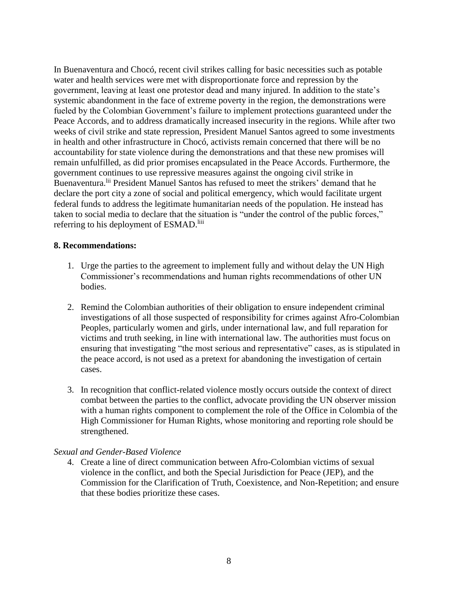In Buenaventura and Chocó, recent civil strikes calling for basic necessities such as potable water and health services were met with disproportionate force and repression by the government, leaving at least one protestor dead and many injured. In addition to the state's systemic abandonment in the face of extreme poverty in the region, the demonstrations were fueled by the Colombian Government's failure to implement protections guaranteed under the Peace Accords, and to address dramatically increased insecurity in the regions. While after two weeks of civil strike and state repression, President Manuel Santos agreed to some investments in health and other infrastructure in Chocó, activists remain concerned that there will be no accountability for state violence during the demonstrations and that these new promises will remain unfulfilled, as did prior promises encapsulated in the Peace Accords. Furthermore, the government continues to use repressive measures against the ongoing civil strike in Buenaventura.<sup>lii</sup> President Manuel Santos has refused to meet the strikers' demand that he declare the port city a zone of social and political emergency, which would facilitate urgent federal funds to address the legitimate humanitarian needs of the population. He instead has taken to social media to declare that the situation is "under the control of the public forces," referring to his deployment of ESMAD.<sup>liii</sup>

#### **8. Recommendations:**

- 1. Urge the parties to the agreement to implement fully and without delay the UN High Commissioner's recommendations and human rights recommendations of other UN bodies.
- 2. Remind the Colombian authorities of their obligation to ensure independent criminal investigations of all those suspected of responsibility for crimes against Afro-Colombian Peoples, particularly women and girls, under international law, and full reparation for victims and truth seeking, in line with international law. The authorities must focus on ensuring that investigating "the most serious and representative" cases, as is stipulated in the peace accord, is not used as a pretext for abandoning the investigation of certain cases.
- 3. In recognition that conflict-related violence mostly occurs outside the context of direct combat between the parties to the conflict, advocate providing the UN observer mission with a human rights component to complement the role of the Office in Colombia of the High Commissioner for Human Rights, whose monitoring and reporting role should be strengthened.

# *Sexual and Gender-Based Violence*

4. Create a line of direct communication between Afro-Colombian victims of sexual violence in the conflict, and both the Special Jurisdiction for Peace (JEP), and the Commission for the Clarification of Truth, Coexistence, and Non-Repetition; and ensure that these bodies prioritize these cases.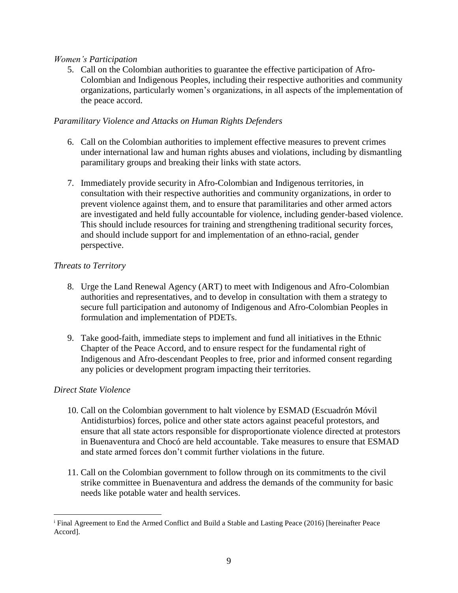#### *Women's Participation*

5. Call on the Colombian authorities to guarantee the effective participation of Afro-Colombian and Indigenous Peoples, including their respective authorities and community organizations, particularly women's organizations, in all aspects of the implementation of the peace accord.

#### *Paramilitary Violence and Attacks on Human Rights Defenders*

- 6. Call on the Colombian authorities to implement effective measures to prevent crimes under international law and human rights abuses and violations, including by dismantling paramilitary groups and breaking their links with state actors.
- 7. Immediately provide security in Afro-Colombian and Indigenous territories, in consultation with their respective authorities and community organizations, in order to prevent violence against them, and to ensure that paramilitaries and other armed actors are investigated and held fully accountable for violence, including gender-based violence. This should include resources for training and strengthening traditional security forces, and should include support for and implementation of an ethno-racial, gender perspective.

# *Threats to Territory*

- 8. Urge the Land Renewal Agency (ART) to meet with Indigenous and Afro-Colombian authorities and representatives, and to develop in consultation with them a strategy to secure full participation and autonomy of Indigenous and Afro-Colombian Peoples in formulation and implementation of PDETs.
- 9. Take good-faith, immediate steps to implement and fund all initiatives in the Ethnic Chapter of the Peace Accord, and to ensure respect for the fundamental right of Indigenous and Afro-descendant Peoples to free, prior and informed consent regarding any policies or development program impacting their territories.

# *Direct State Violence*

 $\overline{a}$ 

- 10. Call on the Colombian government to halt violence by ESMAD (Escuadrón Móvil Antidisturbios) forces, police and other state actors against peaceful protestors, and ensure that all state actors responsible for disproportionate violence directed at protestors in Buenaventura and Chocó are held accountable. Take measures to ensure that ESMAD and state armed forces don't commit further violations in the future.
- 11. Call on the Colombian government to follow through on its commitments to the civil strike committee in Buenaventura and address the demands of the community for basic needs like potable water and health services.

<sup>&</sup>lt;sup>i</sup> Final Agreement to End the Armed Conflict and Build a Stable and Lasting Peace (2016) [hereinafter Peace Accord].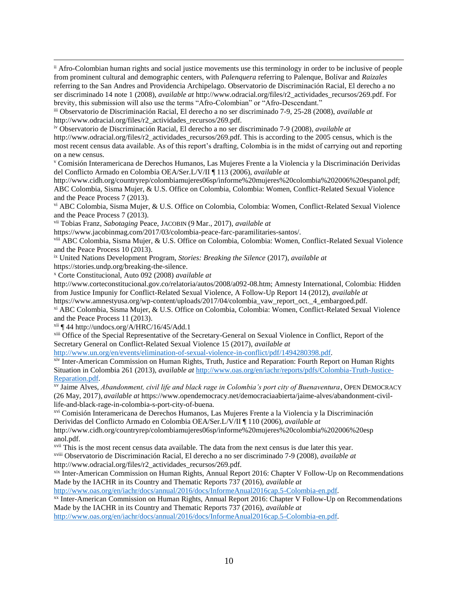ii Afro-Colombian human rights and social justice movements use this terminology in order to be inclusive of people from prominent cultural and demographic centers, with *Palenquera* referring to Palenque, Bolívar and *Raizales* referring to the San Andres and Providencia Archipelago. Observatorio de Discriminación Racial, El derecho a no ser discriminado 14 note 1 (2008), *available at* http://www.odracial.org/files/r2\_actividades\_recursos/269.pdf. For brevity, this submission will also use the terms "Afro-Colombian" or "Afro-Descendant."

iii Observatorio de Discriminación Racial, El derecho a no ser discriminado 7-9, 25-28 (2008), *available at*  http://www.odracial.org/files/r2\_actividades\_recursos/269.pdf.

iv Observatorio de Discriminación Racial, El derecho a no ser discriminado 7-9 (2008), *available at* 

http://www.odracial.org/files/r2\_actividades\_recursos/269.pdf. This is according to the 2005 census, which is the most recent census data available. As of this report's drafting, Colombia is in the midst of carrying out and reporting on a new census.

<sup>v</sup> Comisión Interamericana de Derechos Humanos, Las Mujeres Frente a la Violencia y la Discriminación Derividas del Conflicto Armado en Colombia OEA/Ser.L/V/II ¶ 113 (2006), *available at* 

http://www.cidh.org/countryrep/colombiamujeres06sp/informe%20mujeres%20colombia%202006%20espanol.pdf; ABC Colombia, Sisma Mujer, & U.S. Office on Colombia, Colombia: Women, Conflict-Related Sexual Violence and the Peace Process 7 (2013).

vi ABC Colombia, Sisma Mujer, & U.S. Office on Colombia, Colombia: Women, Conflict-Related Sexual Violence and the Peace Process 7 (2013).

vii Tobias Franz, *Sabotaging* Peace, JACOBIN (9 Mar., 2017), *available at*

https://www.jacobinmag.com/2017/03/colombia-peace-farc-paramilitaries-santos/.

viii ABC Colombia, Sisma Mujer, & U.S. Office on Colombia, Colombia: Women, Conflict-Related Sexual Violence and the Peace Process 10 (2013).

ix United Nations Development Program, *Stories: Breaking the Silence* (2017), *available at* 

https://stories.undp.org/breaking-the-silence.

 $\overline{a}$ 

<sup>x</sup> Corte Constitucional, Auto 092 (2008) *available at* 

http://www.corteconstitucional.gov.co/relatoria/autos/2008/a092-08.htm; Amnesty International, Colombia: Hidden from Justice Impuniy for Conflict-Related Sexual Violence, A Follow-Up Report 14 (2012), *available at* 

https://www.amnestyusa.org/wp-content/uploads/2017/04/colombia\_vaw\_report\_oct.\_4\_embargoed.pdf.

xi ABC Colombia, Sisma Mujer, & U.S. Office on Colombia, Colombia: Women, Conflict-Related Sexual Violence and the Peace Process 11 (2013).

xii ¶ 44 http://undocs.org/A/HRC/16/45/Add.1

xiii Office of the Special Representative of the Secretary-General on Sexual Violence in Conflict, Report of the Secretary General on Conflict-Related Sexual Violence 15 (2017), *available at*

[http://www.un.org/en/events/elimination-of-sexual-violence-in-conflict/pdf/1494280398.pdf.](http://www.un.org/en/events/elimination-of-sexual-violence-in-conflict/pdf/1494280398.pdf)

xiv Inter-American Commission on Human Rights, Truth, Justice and Reparation: Fourth Report on Human Rights Situation in Colombia 261 (2013), *available at* [http://www.oas.org/en/iachr/reports/pdfs/Colombia-Truth-Justice-](http://www.oas.org/en/iachr/reports/pdfs/Colombia-Truth-Justice-Reparation.pdf)[Reparation.pdf.](http://www.oas.org/en/iachr/reports/pdfs/Colombia-Truth-Justice-Reparation.pdf)

xv Jaime Alves, *Abandonment, civil life and black rage in Colombia's port city of Buenaventura*, OPEN DEMOCRACY (26 May, 2017), *available at* https://www.opendemocracy.net/democraciaabierta/jaime-alves/abandonment-civillife-and-black-rage-in-colombia-s-port-city-of-buena.

xvi Comisión Interamericana de Derechos Humanos, Las Mujeres Frente a la Violencia y la Discriminación Derividas del Conflicto Armado en Colombia OEA/Ser.L/V/II ¶ 110 (2006), *available at*

http://www.cidh.org/countryrep/colombiamujeres06sp/informe%20mujeres%20colombia%202006%20esp anol.pdf.

<sup>xvii</sup> This is the most recent census data available. The data from the next census is due later this year.

xviii Observatorio de Discriminación Racial, El derecho a no ser discriminado 7-9 (2008), *available at*  http://www.odracial.org/files/r2\_actividades\_recursos/269.pdf.

xix Inter-American Commission on Human Rights, Annual Report 2016: Chapter V Follow-Up on Recommendations Made by the IACHR in its Country and Thematic Reports 737 (2016), *available at*

[http://www.oas.org/en/iachr/docs/annual/2016/docs/InformeAnual2016cap.5-Colombia-en.pdf.](http://www.oas.org/en/iachr/docs/annual/2016/docs/InformeAnual2016cap.5-Colombia-en.pdf)

xx Inter-American Commission on Human Rights, Annual Report 2016: Chapter V Follow-Up on Recommendations Made by the IACHR in its Country and Thematic Reports 737 (2016), *available at*

[http://www.oas.org/en/iachr/docs/annual/2016/docs/InformeAnual2016cap.5-Colombia-en.pdf.](http://www.oas.org/en/iachr/docs/annual/2016/docs/InformeAnual2016cap.5-Colombia-en.pdf)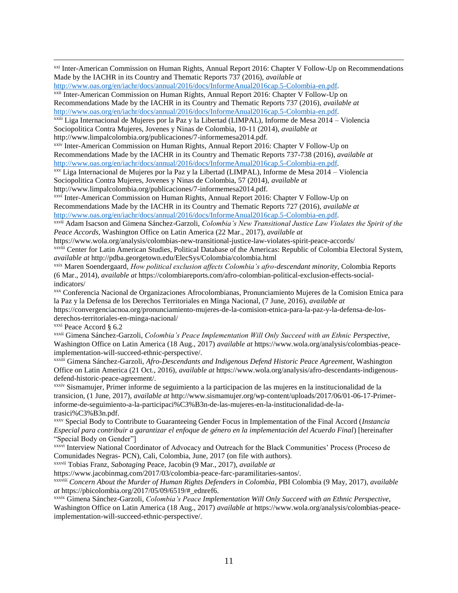xxi Inter-American Commission on Human Rights, Annual Report 2016: Chapter V Follow-Up on Recommendations Made by the IACHR in its Country and Thematic Reports 737 (2016), *available at*

[http://www.oas.org/en/iachr/docs/annual/2016/docs/InformeAnual2016cap.5-Colombia-en.pdf.](http://www.oas.org/en/iachr/docs/annual/2016/docs/InformeAnual2016cap.5-Colombia-en.pdf)

xxii Inter-American Commission on Human Rights, Annual Report 2016: Chapter V Follow-Up on Recommendations Made by the IACHR in its Country and Thematic Reports 737 (2016), *available at* [http://www.oas.org/en/iachr/docs/annual/2016/docs/InformeAnual2016cap.5-Colombia-en.pdf.](http://www.oas.org/en/iachr/docs/annual/2016/docs/InformeAnual2016cap.5-Colombia-en.pdf)

xxiii Liga Internacional de Mujeres por la Paz y la Libertad (LIMPAL), Informe de Mesa 2014 – Violencia Sociopolitica Contra Mujeres, Jovenes y Ninas de Colombia, 10-11 (2014), *available at*  http://www.limpalcolombia.org/publicaciones/7-informemesa2014.pdf.

xxiv Inter-American Commission on Human Rights, Annual Report 2016: Chapter V Follow-Up on Recommendations Made by the IACHR in its Country and Thematic Reports 737-738 (2016), *available at* [http://www.oas.org/en/iachr/docs/annual/2016/docs/InformeAnual2016cap.5-Colombia-en.pdf.](http://www.oas.org/en/iachr/docs/annual/2016/docs/InformeAnual2016cap.5-Colombia-en.pdf)

xxv Liga Internacional de Mujeres por la Paz y la Libertad (LIMPAL), Informe de Mesa 2014 – Violencia Sociopolitica Contra Mujeres, Jovenes y Ninas de Colombia, 57 (2014), *available at*  http://www.limpalcolombia.org/publicaciones/7-informemesa2014.pdf.

xxvi Inter-American Commission on Human Rights, Annual Report 2016: Chapter V Follow-Up on Recommendations Made by the IACHR in its Country and Thematic Reports 727 (2016), *available at* [http://www.oas.org/en/iachr/docs/annual/2016/docs/InformeAnual2016cap.5-Colombia-en.pdf.](http://www.oas.org/en/iachr/docs/annual/2016/docs/InformeAnual2016cap.5-Colombia-en.pdf)

xxvii Adam Isacson and Gimena Sánchez-Garzoli, *Colombia's New Transitional Justice Law Violates the Spirit of the Peace Accords,* Washington Office on Latin America (22 Mar., 2017), *available at*

https://www.wola.org/analysis/colombias-new-transitional-justice-law-violates-spirit-peace-accords/ xxviii Center for Latin American Studies, Political Database of the Americas: Republic of Colombia Electoral System, *available at* http://pdba.georgetown.edu/ElecSys/Colombia/colombia.html

xxix Maren Soendergaard, *How political exclusion affects Colombia's afro-descendant minority,* Colombia Reports (6 Mar., 2014), *available at* https://colombiareports.com/afro-colombian-political-exclusion-effects-socialindicators/

xxx Conferencia Nacional de Organizaciones Afrocolombianas, Pronunciamiento Mujeres de la Comision Etnica para la Paz y la Defensa de los Derechos Territoriales en Minga Nacional, (7 June, 2016), *available at* 

https://convergenciacnoa.org/pronunciamiento-mujeres-de-la-comision-etnica-para-la-paz-y-la-defensa-de-losderechos-territoriales-en-minga-nacional/

xxxi Peace Accord § 6.2

 $\overline{a}$ 

xxxii Gimena Sánchez-Garzoli, *Colombia's Peace Implementation Will Only Succeed with an Ethnic Perspective,* Washington Office on Latin America (18 Aug., 2017) *available at* https://www.wola.org/analysis/colombias-peaceimplementation-will-succeed-ethnic-perspective/.

xxxiii Gimena Sánchez-Garzoli, *Afro-Descendants and Indigenous Defend Historic Peace Agreement*, Washington Office on Latin America (21 Oct., 2016), *available at* https://www.wola.org/analysis/afro-descendants-indigenousdefend-historic-peace-agreement/.

xxxiv Sismamujer, Primer informe de seguimiento a la participacion de las mujeres en la institucionalidad de la transicion, (1 June, 2017), *available at* http://www.sismamujer.org/wp-content/uploads/2017/06/01-06-17-Primerinforme-de-seguimiento-a-la-participaci%C3%B3n-de-las-mujeres-en-la-institucionalidad-de-latrasici%C3%B3n.pdf.

xxxv Special Body to Contribute to Guaranteeing Gender Focus in Implementation of the Final Accord (*Instancia Especial para contribuir a garantizar el enfoque de género en la implementación del Acuerdo Final*) [hereinafter "Special Body on Gender"]

xxxvi Interview National Coordinator of Advocacy and Outreach for the Black Communities' Process (Proceso de Comunidades Negras- PCN), Cali, Colombia, June, 2017 (on file with authors).

xxxvii Tobias Franz, *Sabotaging* Peace, Jacobin (9 Mar., 2017), *available at*

https://www.jacobinmag.com/2017/03/colombia-peace-farc-paramilitaries-santos/.

xxxviii *Concern About the Murder of Human Rights Defenders in Colombia*, PBI Colombia (9 May, 2017), *available at* https://pbicolombia.org/2017/05/09/6519/#\_ednref6.

xxxix Gimena Sánchez-Garzoli, *Colombia's Peace Implementation Will Only Succeed with an Ethnic Perspective,* Washington Office on Latin America (18 Aug., 2017) *available at* https://www.wola.org/analysis/colombias-peaceimplementation-will-succeed-ethnic-perspective/.